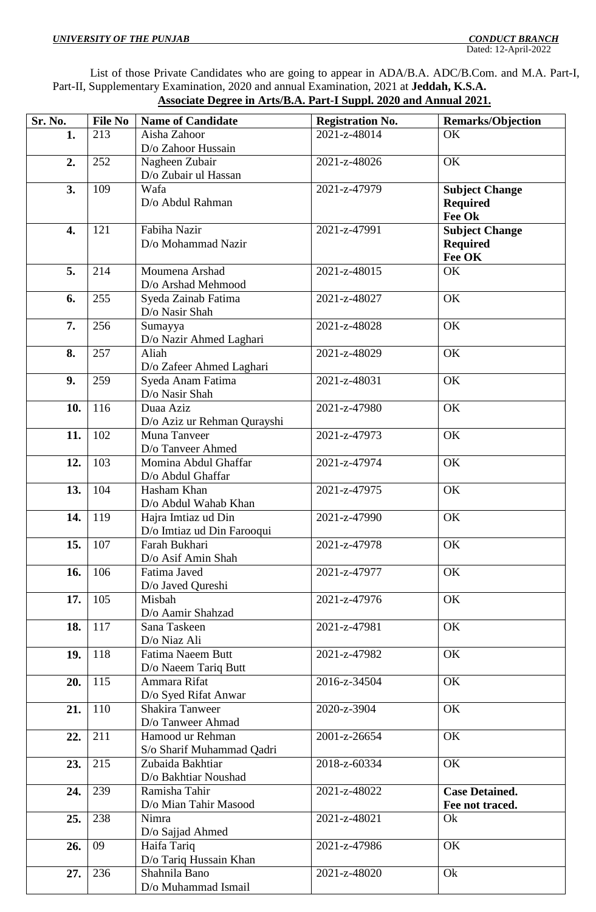List of those Private Candidates who are going to appear in ADA/B.A. ADC/B.Com. and M.A. Part-I, Part-II, Supplementary Examination, 2020 and annual Examination, 2021 at **Jeddah, K.S.A. Associate Degree in Arts/B.A. Part-I Suppl. 2020 and Annual 2021.**

| Sr. No. | <b>File No</b> | <b>Name of Candidate</b>              | <b>Registration No.</b> | <b>Remarks/Objection</b> |
|---------|----------------|---------------------------------------|-------------------------|--------------------------|
| 1.      | 213            | Aisha Zahoor                          | 2021-z-48014            | OK                       |
|         |                | D/o Zahoor Hussain                    |                         |                          |
| 2.      | 252            | Nagheen Zubair                        | 2021-z-48026            | OK                       |
|         |                | D/o Zubair ul Hassan                  |                         |                          |
| 3.      | 109            | Wafa                                  | 2021-z-47979            | <b>Subject Change</b>    |
|         |                | D/o Abdul Rahman                      |                         | <b>Required</b>          |
|         |                |                                       |                         | Fee Ok                   |
| 4.      | 121            | Fabiha Nazir                          | 2021-z-47991            | <b>Subject Change</b>    |
|         |                | D/o Mohammad Nazir                    |                         | <b>Required</b>          |
|         |                |                                       |                         | Fee OK                   |
| 5.      | 214            | Moumena Arshad                        | 2021-z-48015            | OK                       |
|         |                | D/o Arshad Mehmood                    |                         |                          |
| 6.      | 255            | Syeda Zainab Fatima<br>D/o Nasir Shah | 2021-z-48027            | OK                       |
| 7.      | 256            | Sumayya                               | 2021-z-48028            | OK                       |
|         |                | D/o Nazir Ahmed Laghari               |                         |                          |
| 8.      | 257            | Aliah                                 | 2021-z-48029            | OK                       |
|         |                | D/o Zafeer Ahmed Laghari              |                         |                          |
| 9.      | 259            | Syeda Anam Fatima                     | 2021-z-48031            | OK                       |
|         |                | D/o Nasir Shah                        |                         |                          |
| 10.     | 116            | Duaa Aziz                             | 2021-z-47980            | OK                       |
|         |                | D/o Aziz ur Rehman Qurayshi           |                         |                          |
| 11.     | 102            | Muna Tanveer                          | 2021-z-47973            | OK                       |
|         |                | D/o Tanveer Ahmed                     |                         |                          |
| 12.     | 103            | Momina Abdul Ghaffar                  | 2021-z-47974            | OK                       |
|         |                | D/o Abdul Ghaffar                     |                         |                          |
| 13.     | 104            | Hasham Khan                           | 2021-z-47975            | OK                       |
|         |                | D/o Abdul Wahab Khan                  |                         |                          |
| 14.     | 119            | Hajra Imtiaz ud Din                   | 2021-z-47990            | OK                       |
|         |                | D/o Imtiaz ud Din Farooqui            |                         |                          |
| 15.     | 107            | Farah Bukhari                         | 2021-z-47978            | OK                       |
| 16.     | 106            | D/o Asif Amin Shah<br>Fatima Javed    | 2021-z-47977            | OK                       |
|         |                | D/o Javed Qureshi                     |                         |                          |
| 17.     | 105            | Misbah                                | $2021 - z - 47976$      | OK                       |
|         |                | D/o Aamir Shahzad                     |                         |                          |
| 18.     | 117            | Sana Taskeen                          | 2021-z-47981            | OK                       |
|         |                | D/o Niaz Ali                          |                         |                          |
| 19.     | 118            | Fatima Naeem Butt                     | 2021-z-47982            | OK                       |
|         |                | D/o Naeem Tariq Butt                  |                         |                          |
| 20.     | 115            | Ammara Rifat                          | $2016 - z - 34504$      | OK                       |
|         |                | D/o Syed Rifat Anwar                  |                         |                          |
| 21.     | 110            | Shakira Tanweer                       | 2020-z-3904             | OK                       |
|         |                | D/o Tanweer Ahmad                     |                         |                          |
| 22.     | 211            | Hamood ur Rehman                      | 2001-z-26654            | OK                       |
|         |                | S/o Sharif Muhammad Qadri             |                         |                          |
| 23.     | 215            | Zubaida Bakhtiar                      | 2018-z-60334            | OK                       |
| 24.     | 239            | D/o Bakhtiar Noushad<br>Ramisha Tahir | 2021-z-48022            | <b>Case Detained.</b>    |
|         |                | D/o Mian Tahir Masood                 |                         | Fee not traced.          |
| 25.     | 238            | Nimra                                 | 2021-z-48021            | Ok                       |
|         |                | D/o Sajjad Ahmed                      |                         |                          |
| 26.     | 09             | Haifa Tariq                           | 2021-z-47986            | OK                       |
|         |                | D/o Tariq Hussain Khan                |                         |                          |
| 27.     | 236            | Shahnila Bano                         | 2021-z-48020            | Ok                       |
|         |                | D/o Muhammad Ismail                   |                         |                          |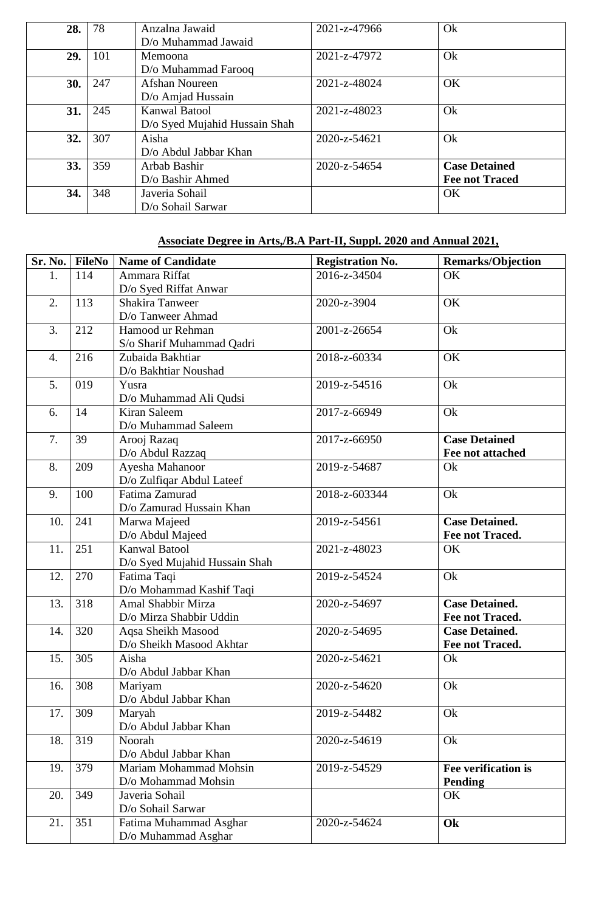| 28. | 78  | Anzalna Jawaid                | 2021-z-47966 | Ok                    |
|-----|-----|-------------------------------|--------------|-----------------------|
|     |     | D/o Muhammad Jawaid           |              |                       |
| 29. | 101 | <b>Memoona</b>                | 2021-z-47972 | Ok                    |
|     |     | D/o Muhammad Farooq           |              |                       |
| 30. | 247 | Afshan Noureen                | 2021-z-48024 | <b>OK</b>             |
|     |     | D/o Amjad Hussain             |              |                       |
| 31. | 245 | <b>Kanwal Batool</b>          | 2021-z-48023 | Ok                    |
|     |     | D/o Syed Mujahid Hussain Shah |              |                       |
| 32. | 307 | Aisha                         | 2020-z-54621 | Ok                    |
|     |     | D/o Abdul Jabbar Khan         |              |                       |
| 33. | 359 | Arbab Bashir                  | 2020-z-54654 | <b>Case Detained</b>  |
|     |     | D/o Bashir Ahmed              |              | <b>Fee not Traced</b> |
| 34. | 348 | Javeria Sohail                |              | <b>OK</b>             |
|     |     | D/o Sohail Sarwar             |              |                       |

# **Associate Degree in Arts,/B.A Part-II, Suppl. 2020 and Annual 2021,**

| Sr. No. | <b>FileNo</b> | <b>Name of Candidate</b>      | <b>Registration No.</b> | <b>Remarks/Objection</b> |
|---------|---------------|-------------------------------|-------------------------|--------------------------|
| 1.      | 114           | Ammara Riffat                 | 2016-z-34504            | OK                       |
|         |               | D/o Syed Riffat Anwar         |                         |                          |
| 2.      | 113           | Shakira Tanweer               | 2020-z-3904             | OK                       |
|         |               | D/o Tanweer Ahmad             |                         |                          |
| 3.      | 212           | Hamood ur Rehman              | 2001-z-26654            | Ok                       |
|         |               | S/o Sharif Muhammad Qadri     |                         |                          |
| 4.      | 216           | Zubaida Bakhtiar              | 2018-z-60334            | OK                       |
|         |               | D/o Bakhtiar Noushad          |                         |                          |
| 5.      | 019           | Yusra                         | 2019-z-54516            | Ok                       |
|         |               | D/o Muhammad Ali Qudsi        |                         |                          |
| 6.      | 14            | Kiran Saleem                  | 2017-z-66949            | Ok                       |
|         |               | D/o Muhammad Saleem           |                         |                          |
| 7.      | 39            | Arooj Razaq                   | 2017-z-66950            | <b>Case Detained</b>     |
|         |               | D/o Abdul Razzaq              |                         | Fee not attached         |
| 8.      | 209           | Ayesha Mahanoor               | 2019-z-54687            | Ok                       |
|         |               | D/o Zulfiqar Abdul Lateef     |                         |                          |
| 9.      | 100           | Fatima Zamurad                | 2018-z-603344           | Ok                       |
|         |               | D/o Zamurad Hussain Khan      |                         |                          |
| 10.     | 241           | Marwa Majeed                  | 2019-z-54561            | <b>Case Detained.</b>    |
|         |               | D/o Abdul Majeed              |                         | Fee not Traced.          |
| 11.     | 251           | <b>Kanwal Batool</b>          | 2021-z-48023            | OK                       |
|         |               | D/o Syed Mujahid Hussain Shah |                         |                          |
| 12.     | 270           | Fatima Taqi                   | 2019-z-54524            | Ok                       |
|         |               | D/o Mohammad Kashif Taqi      |                         |                          |
| 13.     | 318           | Amal Shabbir Mirza            | 2020-z-54697            | <b>Case Detained.</b>    |
|         |               | D/o Mirza Shabbir Uddin       |                         | <b>Fee not Traced.</b>   |
| 14.     | 320           | Aqsa Sheikh Masood            | 2020-z-54695            | <b>Case Detained.</b>    |
|         |               | D/o Sheikh Masood Akhtar      |                         | Fee not Traced.          |
| 15.     | 305           | Aisha                         | 2020-z-54621            | Ok                       |
|         |               | D/o Abdul Jabbar Khan         |                         |                          |
| 16.     | 308           | Mariyam                       | 2020-z-54620            | Ok                       |
|         |               | D/o Abdul Jabbar Khan         |                         |                          |
| 17.     | 309           | Maryah                        | 2019-z-54482            | Ok                       |
|         |               | D/o Abdul Jabbar Khan         |                         |                          |
| 18.     | 319           | Noorah                        | 2020-z-54619            | Ok                       |
|         |               | D/o Abdul Jabbar Khan         |                         |                          |
| 19.     | 379           | Mariam Mohammad Mohsin        | 2019-z-54529            | Fee verification is      |
|         |               | D/o Mohammad Mohsin           |                         | <b>Pending</b>           |
| 20.     | 349           | Javeria Sohail                |                         | OK                       |
|         |               | D/o Sohail Sarwar             |                         |                          |
| 21.     | 351           | Fatima Muhammad Asghar        | 2020-z-54624            | Ok                       |
|         |               | D/o Muhammad Asghar           |                         |                          |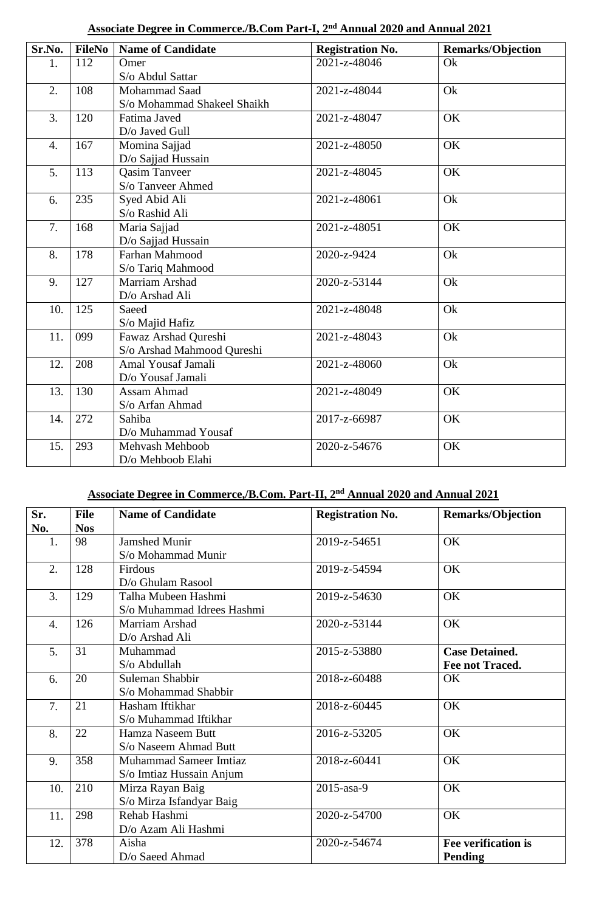| Sr.No.           | <b>FileNo</b> | <b>Name of Candidate</b>    | <b>Registration No.</b> | <b>Remarks/Objection</b> |
|------------------|---------------|-----------------------------|-------------------------|--------------------------|
| 1.               | 112           | Omer                        | 2021-z-48046            | Ok                       |
|                  |               | S/o Abdul Sattar            |                         |                          |
| 2.               | 108           | Mohammad Saad               | 2021-z-48044            | Ok                       |
|                  |               | S/o Mohammad Shakeel Shaikh |                         |                          |
| 3.               | 120           | Fatima Javed                | 2021-z-48047            | OK                       |
|                  |               | D/o Javed Gull              |                         |                          |
| $\overline{4}$ . | 167           | Momina Sajjad               | 2021-z-48050            | OK                       |
|                  |               | D/o Sajjad Hussain          |                         |                          |
| 5.               | 113           | <b>Qasim Tanveer</b>        | 2021-z-48045            | OK                       |
|                  |               | S/o Tanveer Ahmed           |                         |                          |
| 6.               | 235           | Syed Abid Ali               | 2021-z-48061            | Ok                       |
|                  |               | S/o Rashid Ali              |                         |                          |
| 7.               | 168           | Maria Sajjad                | 2021-z-48051            | OK                       |
|                  |               | D/o Sajjad Hussain          |                         |                          |
| 8.               | 178           | Farhan Mahmood              | 2020-z-9424             | Ok                       |
|                  |               | S/o Tariq Mahmood           |                         |                          |
| 9.               | 127           | Marriam Arshad              | 2020-z-53144            | Ok                       |
|                  |               | D/o Arshad Ali              |                         |                          |
| 10.              | 125           | Saeed                       | 2021-z-48048            | Ok                       |
|                  |               | S/o Majid Hafiz             |                         |                          |
| 11.              | 099           | Fawaz Arshad Qureshi        | 2021-z-48043            | Ok                       |
|                  |               | S/o Arshad Mahmood Qureshi  |                         |                          |
| 12.              | 208           | Amal Yousaf Jamali          | 2021-z-48060            | Ok                       |
|                  |               | D/o Yousaf Jamali           |                         |                          |
| 13.              | 130           | Assam Ahmad                 | 2021-z-48049            | OK                       |
|                  |               | S/o Arfan Ahmad             |                         |                          |
| 14.              | 272           | Sahiba                      | 2017-z-66987            | OK                       |
|                  |               | D/o Muhammad Yousaf         |                         |                          |
| 15.              | 293           | Mehvash Mehboob             | 2020-z-54676            | OK                       |
|                  |               | D/o Mehboob Elahi           |                         |                          |

# **Associate Degree in Commerce./B.Com Part-I, 2nd Annual 2020 and Annual 2021**

# **Associate Degree in Commerce,/B.Com. Part-II, 2nd Annual 2020 and Annual 2021**

| Sr.              | <b>File</b> | <b>Name of Candidate</b>   | <b>Registration No.</b> | <b>Remarks/Objection</b> |
|------------------|-------------|----------------------------|-------------------------|--------------------------|
| No.              | <b>Nos</b>  |                            |                         |                          |
| 1.               | 98          | <b>Jamshed Munir</b>       | 2019-z-54651            | OK                       |
|                  |             | S/o Mohammad Munir         |                         |                          |
| 2.               | 128         | Firdous                    | 2019-z-54594            | OK                       |
|                  |             | D/o Ghulam Rasool          |                         |                          |
| 3.               | 129         | Talha Mubeen Hashmi        | 2019-z-54630            | OK                       |
|                  |             | S/o Muhammad Idrees Hashmi |                         |                          |
| $\overline{4}$ . | 126         | Marriam Arshad             | 2020-z-53144            | OK                       |
|                  |             | D/o Arshad Ali             |                         |                          |
| 5.               | 31          | Muhammad                   | 2015-z-53880            | <b>Case Detained.</b>    |
|                  |             | S/o Abdullah               |                         | Fee not Traced.          |
| 6.               | 20          | Suleman Shabbir            | 2018-z-60488            | OK                       |
|                  |             | S/o Mohammad Shabbir       |                         |                          |
| 7.               | 21          | Hasham Iftikhar            | 2018-z-60445            | OK                       |
|                  |             | S/o Muhammad Iftikhar      |                         |                          |
| 8.               | 22          | Hamza Naseem Butt          | 2016-z-53205            | OK                       |
|                  |             | S/o Naseem Ahmad Butt      |                         |                          |
| 9.               | 358         | Muhammad Sameer Imtiaz     | 2018-z-60441            | OK                       |
|                  |             | S/o Imtiaz Hussain Anjum   |                         |                          |
| 10.              | 210         | Mirza Rayan Baig           | 2015-asa-9              | OK                       |
|                  |             | S/o Mirza Isfandyar Baig   |                         |                          |
| 11.              | 298         | Rehab Hashmi               | 2020-z-54700            | OK                       |
|                  |             | D/o Azam Ali Hashmi        |                         |                          |
| 12.              | 378         | Aisha                      | 2020-z-54674            | Fee verification is      |
|                  |             | D/o Saeed Ahmad            |                         | <b>Pending</b>           |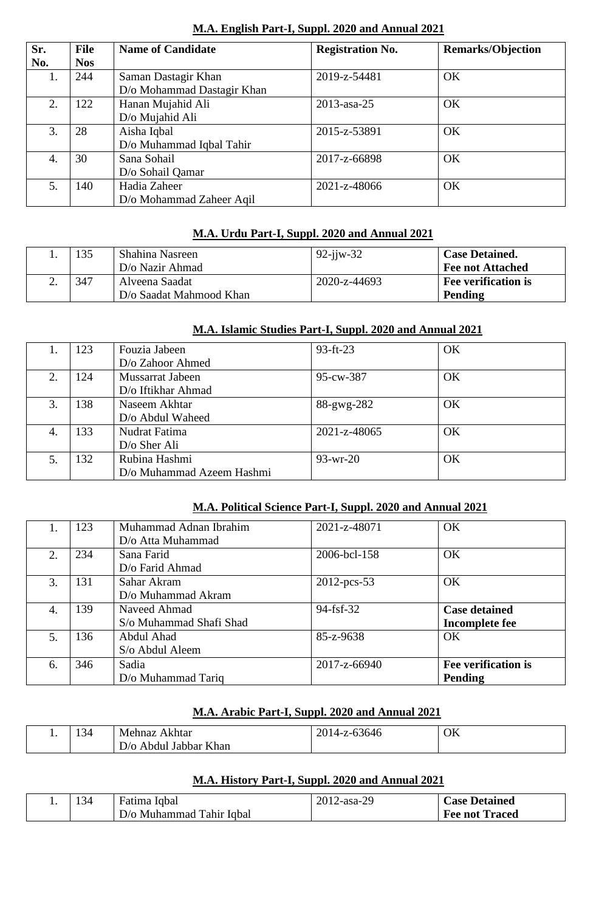| Sr. | <b>File</b> | <b>Name of Candidate</b>   | <b>Registration No.</b> | <b>Remarks/Objection</b> |
|-----|-------------|----------------------------|-------------------------|--------------------------|
| No. | <b>Nos</b>  |                            |                         |                          |
| 1.  | 244         | Saman Dastagir Khan        | 2019-z-54481            | OK                       |
|     |             | D/o Mohammad Dastagir Khan |                         |                          |
| 2.  | 122         | Hanan Mujahid Ali          | 2013-asa-25             | <b>OK</b>                |
|     |             | D/o Mujahid Ali            |                         |                          |
| 3.  | 28          | Aisha Iqbal                | 2015-z-53891            | OK                       |
|     |             | D/o Muhammad Iqbal Tahir   |                         |                          |
| 4.  | 30          | Sana Sohail                | 2017-z-66898            | <b>OK</b>                |
|     |             | D/o Sohail Qamar           |                         |                          |
| 5.  | 140         | Hadia Zaheer               | 2021-z-48066            | <b>OK</b>                |
|     |             | D/o Mohammad Zaheer Aqil   |                         |                          |

#### **M.A. English Part-I, Suppl. 2020 and Annual 2021**

#### **M.A. Urdu Part-I, Suppl. 2020 and Annual 2021**

| 135 | Shahina Nasreen         | $92 - i$ jw $-32$ | <b>Case Detained.</b>      |
|-----|-------------------------|-------------------|----------------------------|
|     | D/o Nazir Ahmad         |                   | Fee not Attached           |
| 347 | Alveena Saadat          | 2020-z-44693      | <b>Fee verification is</b> |
|     | D/o Saadat Mahmood Khan |                   | Pending                    |

#### **M.A. Islamic Studies Part-I, Suppl. 2020 and Annual 2021**

|    | 123 | Fouzia Jabeen             | $93-ft-23$   | OK |
|----|-----|---------------------------|--------------|----|
|    |     | D/o Zahoor Ahmed          |              |    |
| 2. | 124 | Mussarrat Jabeen          | 95-cw-387    | OK |
|    |     | D/o Iftikhar Ahmad        |              |    |
| 3. | 138 | Naseem Akhtar             | 88-gwg-282   | OK |
|    |     | D/o Abdul Waheed          |              |    |
| 4. | 133 | Nudrat Fatima             | 2021-z-48065 | OK |
|    |     | $D$ /o Sher Ali           |              |    |
|    | 132 | Rubina Hashmi             | $93-wr-20$   | OK |
|    |     | D/o Muhammad Azeem Hashmi |              |    |

### **M.A. Political Science Part-I, Suppl. 2020 and Annual 2021**

| Ι. | 123 | Muhammad Adnan Ibrahim  | 2021-z-48071   | OK                   |
|----|-----|-------------------------|----------------|----------------------|
|    |     | D/o Atta Muhammad       |                |                      |
| 2. | 234 | Sana Farid              | 2006-bcl-158   | OK                   |
|    |     | D/o Farid Ahmad         |                |                      |
| 3. | 131 | Sahar Akram             | $2012$ -pcs-53 | OK                   |
|    |     | D/o Muhammad Akram      |                |                      |
| 4. | 139 | Naveed Ahmad            | $94-fsf-32$    | <b>Case detained</b> |
|    |     | S/o Muhammad Shafi Shad |                | Incomplete fee       |
| 5. | 136 | Abdul Ahad              | 85-z-9638      | OK                   |
|    |     | S/o Abdul Aleem         |                |                      |
| 6. | 346 | Sadia                   | 2017-z-66940   | Fee verification is  |
|    |     | D/o Muhammad Tariq      |                | Pending              |

#### **M.A. Arabic Part-I, Suppl. 2020 and Annual 2021**

| . . | -14 | Mehnaz<br>Akhtar                             | z-63646<br>ററ<br>-<br>$\Delta$<br>∠∪<br>∼ | OK |
|-----|-----|----------------------------------------------|-------------------------------------------|----|
|     |     | <b>TZ1</b><br>Khan<br>Jabbar<br>Abdul<br>D/O |                                           |    |

## **M.A. History Part-I, Suppl. 2020 and Annual 2021**

| -34 | Fatima Iqbal             | 2012-asa-29 | <b>Case Detained</b>  |
|-----|--------------------------|-------------|-----------------------|
|     | D/o Muhammad Tahir Iqbal |             | <b>Fee not Traced</b> |